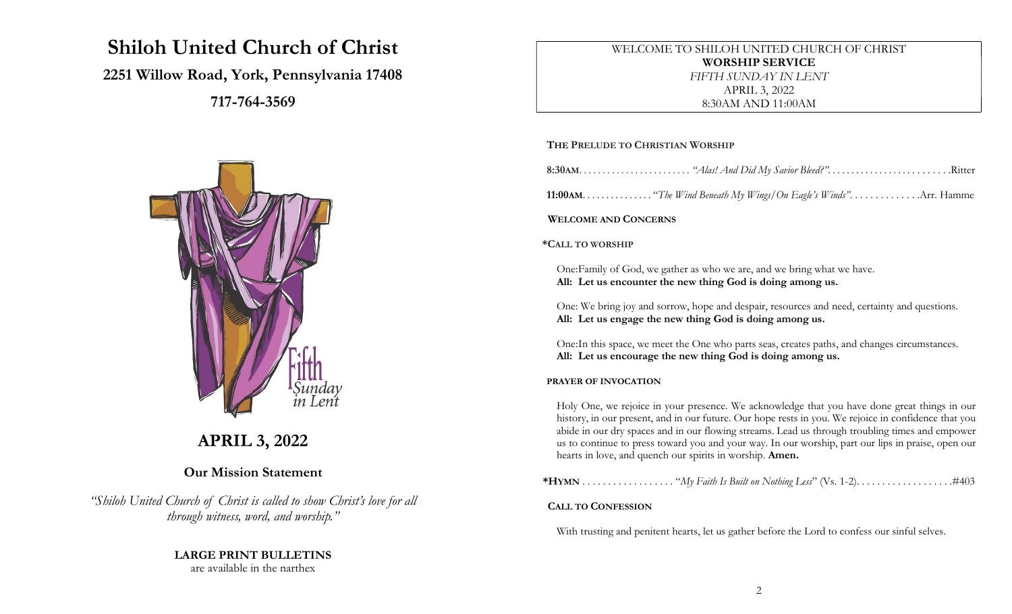# Shiloh United Church of Christ

## 2251 Willow Road, York, Pennsylvania 17408

717-764-3569



## APRIL 3, 2022

## Our Mission Statement

"Shiloh United Church of Christ is called to show Christ's love for all through witness, word, and worship."

## LARGE PRINT BULLETINS

are available in the narthex

WELCOME TO SHILOH UNITED CHURCH OF CHRIST WORSHIP SERVICE FIFTH SUNDAY IN LENT APRIL 3, 2022 8:30AM AND 11:00AM

## THE PRELUDE TO CHRISTIAN WORSHIP

|--|--|--|

**11:00AM.** . . . . . . . . . . . . . . "The Wind Beneath My Wings/On Eagle's Winds". . . . . . . . . . . . . . Arr. Hamme

WELCOME AND CONCERNS

#### \*CALL TO WORSHIP

One: Family of God, we gather as who we are, and we bring what we have. All: Let us encounter the new thing God is doing among us.

One: We bring joy and sorrow, hope and despair, resources and need, certainty and questions. All: Let us engage the new thing God is doing among us.

One: In this space, we meet the One who parts seas, creates paths, and changes circumstances. All: Let us encourage the new thing God is doing among us.

## PRAYER OF INVOCATION

Holy One, we rejoice in your presence. We acknowledge that you have done great things in our history, in our present, and in our future. Our hope rests in you. We rejoice in confidence that you abide in our dry spaces and in our flowing streams. Lead us through troubling times and empower us to continue to press toward you and your way. In our worship, part our lips in praise, open our hearts in love, and quench our spirits in worship. Amen.

\*HYMN . . . . . . . . . . . . . . . . . . "My Faith Is Built on Nothing Less" (Vs. 1-2). . . . . . . . . . . . . . . . . . .#403

## CALL TO CONFESSION

With trusting and penitent hearts, let us gather before the Lord to confess our sinful selves.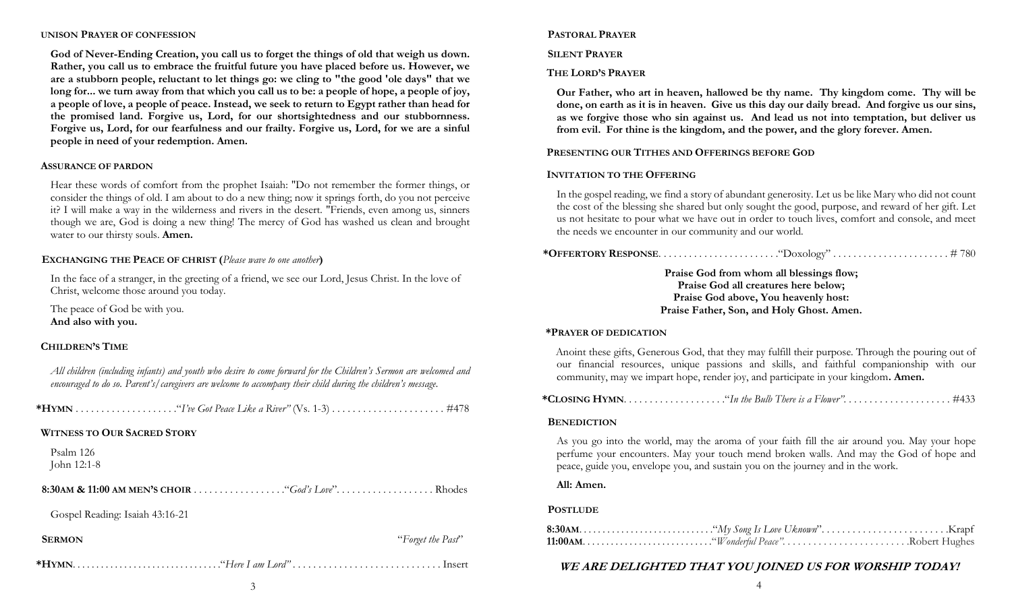#### UNISON PRAYER OF CONFESSION

God of Never-Ending Creation, you call us to forget the things of old that weigh us down. Rather, you call us to embrace the fruitful future you have placed before us. However, we are a stubborn people, reluctant to let things go: we cling to "the good 'ole days" that we long for... we turn away from that which you call us to be: a people of hope, a people of joy, a people of love, a people of peace. Instead, we seek to return to Egypt rather than head for the promised land. Forgive us, Lord, for our shortsightedness and our stubbornness. Forgive us, Lord, for our fearfulness and our frailty. Forgive us, Lord, for we are a sinful people in need of your redemption. Amen.

#### ASSURANCE OF PARDON

Hear these words of comfort from the prophet Isaiah: "Do not remember the former things, or consider the things of old. I am about to do a new thing; now it springs forth, do you not perceive it? I will make a way in the wilderness and rivers in the desert. "Friends, even among us, sinners though we are, God is doing a new thing! The mercy of God has washed us clean and brought water to our thirsty souls. **Amen.** 

#### EXCHANGING THE PEACE OF CHRIST (Please wave to one another)

In the face of a stranger, in the greeting of a friend, we see our Lord, Jesus Christ. In the love of Christ, welcome those around you today.

The peace of God be with you. And also with you.

#### CHILDREN'S TIME

| All children (including infants) and youth who desire to come forward for the Children's Sermon are welcomed and<br>encouraged to do so. Parent's/caregivers are welcome to accompany their child during the children's message. |                   |
|----------------------------------------------------------------------------------------------------------------------------------------------------------------------------------------------------------------------------------|-------------------|
|                                                                                                                                                                                                                                  |                   |
| <b>WITNESS TO OUR SACRED STORY</b>                                                                                                                                                                                               |                   |
| Psalm 126<br>John 12:1-8                                                                                                                                                                                                         |                   |
|                                                                                                                                                                                                                                  |                   |
| Gospel Reading: Isaiah 43:16-21                                                                                                                                                                                                  |                   |
| <b>SERMON</b>                                                                                                                                                                                                                    | "Forget the Past" |
|                                                                                                                                                                                                                                  |                   |

#### PASTORAL PRAYER

#### SILENT PRAYER

#### THE LORD'S PRAYER

Our Father, who art in heaven, hallowed be thy name. Thy kingdom come. Thy will be done, on earth as it is in heaven. Give us this day our daily bread. And forgive us our sins, as we forgive those who sin against us. And lead us not into temptation, but deliver us from evil. For thine is the kingdom, and the power, and the glory forever. Amen.

#### PRESENTING OUR TITHES AND OFFERINGS BEFORE GOD

#### INVITATION TO THE OFFERING

In the gospel reading, we find a story of abundant generosity. Let us be like Mary who did not count the cost of the blessing she shared but only sought the good, purpose, and reward of her gift. Let us not hesitate to pour what we have out in order to touch lives, comfort and console, and meet the needs we encounter in our community and our world.

|--|--|--|

Praise God from whom all blessings flow; Praise God all creatures here below; Praise God above, You heavenly host: Praise Father, Son, and Holy Ghost. Amen.

#### \*PRAYER OF DEDICATION

Anoint these gifts, Generous God, that they may fulfill their purpose. Through the pouring out of our financial resources, unique passions and skills, and faithful companionship with our community, may we impart hope, render joy, and participate in your kingdom. Amen.

\*CLOSING HYMN. . . . . . . . . . . . . . . . . . . ."In the Bulb There is a Flower". . . . . . . . . . . . . . . . . . . . . #433

#### **BENEDICTION**

As you go into the world, may the aroma of your faith fill the air around you. May your hope perfume your encounters. May your touch mend broken walls. And may the God of hope and peace, guide you, envelope you, and sustain you on the journey and in the work.

#### All: Amen.

#### **POSTLUDE**

## WE ARE DELIGHTED THAT YOU JOINED US FOR WORSHIP TODAY!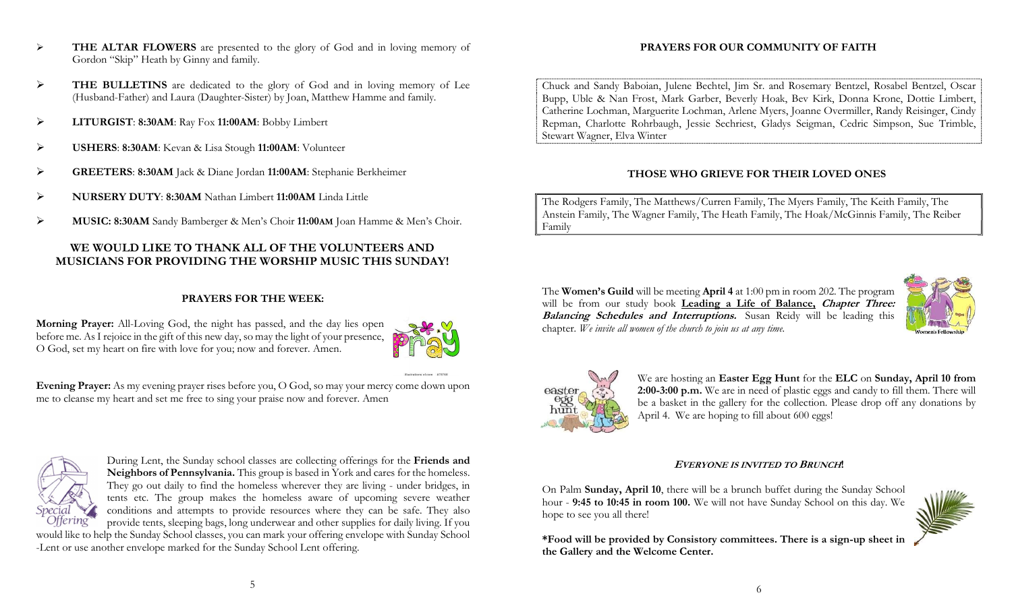- FREALTAR FLOWERS are presented to the glory of God and in loving memory of Gordon "Skip" Heath by Ginny and family.
- THE BULLETINS are dedicated to the glory of God and in loving memory of Lee (Husband-Father) and Laura (Daughter-Sister) by Joan, Matthew Hamme and family.
- > LITURGIST: 8:30AM: Ray Fox 11:00AM: Bobby Limbert
- USHERS: 8:30AM: Kevan & Lisa Stough 11:00AM: Volunteer
- GREETERS: 8:30AM Jack & Diane Jordan 11:00AM: Stephanie Berkheimer
- NURSERY DUTY: 8:30AM Nathan Limbert 11:00AM Linda Little
- MUSIC: 8:30AM Sandy Bamberger & Men's Choir 11:00AM Joan Hamme & Men's Choir.

## WE WOULD LIKE TO THANK ALL OF THE VOLUNTEERS AND MUSICIANS FOR PROVIDING THE WORSHIP MUSIC THIS SUNDAY!

## PRAYERS FOR THE WEEK:

Morning Prayer: All-Loving God, the night has passed, and the day lies open before me. As I rejoice in the gift of this new day, so may the light of your presence, O God, set my heart on fire with love for you; now and forever. Amen.



Evening Prayer: As my evening prayer rises before you, O God, so may your mercy come down upon me to cleanse my heart and set me free to sing your praise now and forever. Amen



During Lent, the Sunday school classes are collecting offerings for the Friends and Neighbors of Pennsylvania. This group is based in York and cares for the homeless. They go out daily to find the homeless wherever they are living - under bridges, in tents etc. The group makes the homeless aware of upcoming severe weather conditions and attempts to provide resources where they can be safe. They also provide tents, sleeping bags, long underwear and other supplies for daily living. If you

would like to help the Sunday School classes, you can mark your offering envelope with Sunday School -Lent or use another envelope marked for the Sunday School Lent offering.

## PRAYERS FOR OUR COMMUNITY OF FAITH

Chuck and Sandy Baboian, Julene Bechtel, Jim Sr. and Rosemary Bentzel, Rosabel Bentzel, Oscar Bupp, Uble & Nan Frost, Mark Garber, Beverly Hoak, Bev Kirk, Donna Krone, Dottie Limbert, Catherine Lochman, Marguerite Lochman, Arlene Myers, Joanne Overmiller, Randy Reisinger, Cindy Repman, Charlotte Rohrbaugh, Jessie Sechriest, Gladys Seigman, Cedric Simpson, Sue Trimble, Stewart Wagner, Elva Winter

## THOSE WHO GRIEVE FOR THEIR LOVED ONES

The Rodgers Family, The Matthews/Curren Family, The Myers Family, The Keith Family, The Anstein Family, The Wagner Family, The Heath Family, The Hoak/McGinnis Family, The Reiber Family

The Women's Guild will be meeting April 4 at 1:00 pm in room 202. The program will be from our study book Leading a Life of Balance, Chapter Three: Balancing Schedules and Interruptions. Susan Reidy will be leading this chapter. We invite all women of the church to join us at any time.





We are hosting an Easter Egg Hunt for the ELC on Sunday, April 10 from 2:00-3:00 p.m. We are in need of plastic eggs and candy to fill them. There will be a basket in the gallery for the collection. Please drop off any donations by April 4. We are hoping to fill about 600 eggs!

## <sup>E</sup>VERYONE IS INVITED TO BRUNCH!

On Palm Sunday, April 10, there will be a brunch buffet during the Sunday School hour - 9:45 to 10:45 in room 100. We will not have Sunday School on this day. We hope to see you all there!

\*Food will be provided by Consistory committees. There is a sign-up sheet in the Gallery and the Welcome Center.